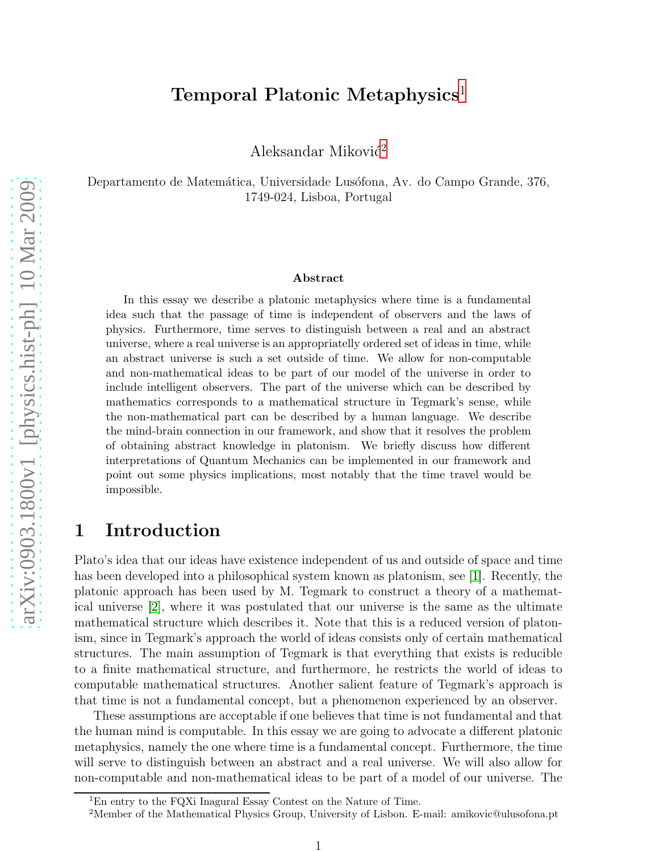### Temporal Platonic Metaphysics<sup>[1](#page-0-0)</sup>

Aleksandar Miković<sup>[2](#page-0-1)</sup>

Departamento de Matemática, Universidade Lusófona, Av. do Campo Grande, 376, 1749-024, Lisboa, Portugal

#### Abstract

In this essay we describe a platonic metaphysics where time is a fundamental idea such that the passage of time is independent of observers and the laws of physics. Furthermore, time serves to distinguish between a real and an abstract universe, where a real universe is an appropriatelly ordered set of ideas in time, while an abstract universe is such a set outside of time. We allow for non-computable and non-mathematical ideas to be part of our model of the universe in order to include intelligent observers. The part of the universe which can be described by mathematics corresponds to a mathematical structure in Tegmark's sense, while the non-mathematical part can be described by a human language. We describe the mind-brain connection in our framework, and show that it resolves the problem of obtaining abstract knowledge in platonism. We briefly discuss how different interpretations of Quantum Mechanics can be implemented in our framework and point out some physics implications, most notably that the time travel would be impossible.

## 1 Introduction

Plato's idea that our ideas have existence independent of us and outside of space and time has been developed into a philosophical system known as platonism, see [\[1\]](#page-5-0). Recently, the platonic approach has been used by M. Tegmark to construct a theory of a mathematical universe [\[2\]](#page-5-1), where it was postulated that our universe is the same as the ultimate mathematical structure which describes it. Note that this is a reduced version of platonism, since in Tegmark's approach the world of ideas consists only of certain mathematical structures. The main assumption of Tegmark is that everything that exists is reducible to a finite mathematical structure, and furthermore, he restricts the world of ideas to computable mathematical structures. Another salient feature of Tegmark's approach is that time is not a fundamental concept, but a phenomenon experienced by an observer.

These assumptions are acceptable if one believes that time is not fundamental and that the human mind is computable. In this essay we are going to advocate a different platonic metaphysics, namely the one where time is a fundamental concept. Furthermore, the time will serve to distinguish between an abstract and a real universe. We will also allow for non-computable and non-mathematical ideas to be part of a model of our universe. The

<sup>&</sup>lt;sup>1</sup>En entry to the FQXi Inagural Essay Contest on the Nature of Time.

<span id="page-0-1"></span><span id="page-0-0"></span><sup>&</sup>lt;sup>2</sup>Member of the Mathematical Physics Group, University of Lisbon. E-mail: amikovic@ulusofona.pt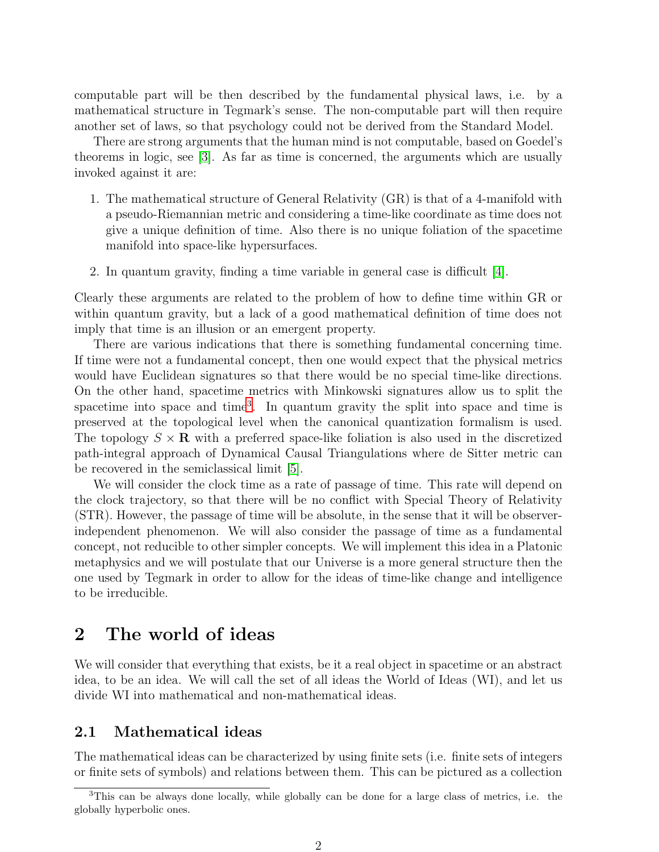computable part will be then described by the fundamental physical laws, i.e. by a mathematical structure in Tegmark's sense. The non-computable part will then require another set of laws, so that psychology could not be derived from the Standard Model.

There are strong arguments that the human mind is not computable, based on Goedel's theorems in logic, see [\[3\]](#page-5-2). As far as time is concerned, the arguments which are usually invoked against it are:

- 1. The mathematical structure of General Relativity (GR) is that of a 4-manifold with a pseudo-Riemannian metric and considering a time-like coordinate as time does not give a unique definition of time. Also there is no unique foliation of the spacetime manifold into space-like hypersurfaces.
- 2. In quantum gravity, finding a time variable in general case is difficult [\[4\]](#page-5-3).

Clearly these arguments are related to the problem of how to define time within GR or within quantum gravity, but a lack of a good mathematical definition of time does not imply that time is an illusion or an emergent property.

There are various indications that there is something fundamental concerning time. If time were not a fundamental concept, then one would expect that the physical metrics would have Euclidean signatures so that there would be no special time-like directions. On the other hand, spacetime metrics with Minkowski signatures allow us to split the spacetime into space and time<sup>[3](#page-1-0)</sup>. In quantum gravity the split into space and time is preserved at the topological level when the canonical quantization formalism is used. The topology  $S \times \mathbf{R}$  with a preferred space-like foliation is also used in the discretized path-integral approach of Dynamical Causal Triangulations where de Sitter metric can be recovered in the semiclassical limit [\[5\]](#page-5-4).

We will consider the clock time as a rate of passage of time. This rate will depend on the clock trajectory, so that there will be no conflict with Special Theory of Relativity (STR). However, the passage of time will be absolute, in the sense that it will be observerindependent phenomenon. We will also consider the passage of time as a fundamental concept, not reducible to other simpler concepts. We will implement this idea in a Platonic metaphysics and we will postulate that our Universe is a more general structure then the one used by Tegmark in order to allow for the ideas of time-like change and intelligence to be irreducible.

### 2 The world of ideas

We will consider that everything that exists, be it a real object in spacetime or an abstract idea, to be an idea. We will call the set of all ideas the World of Ideas (WI), and let us divide WI into mathematical and non-mathematical ideas.

### 2.1 Mathematical ideas

The mathematical ideas can be characterized by using finite sets (i.e. finite sets of integers or finite sets of symbols) and relations between them. This can be pictured as a collection

<span id="page-1-0"></span><sup>3</sup>This can be always done locally, while globally can be done for a large class of metrics, i.e. the globally hyperbolic ones.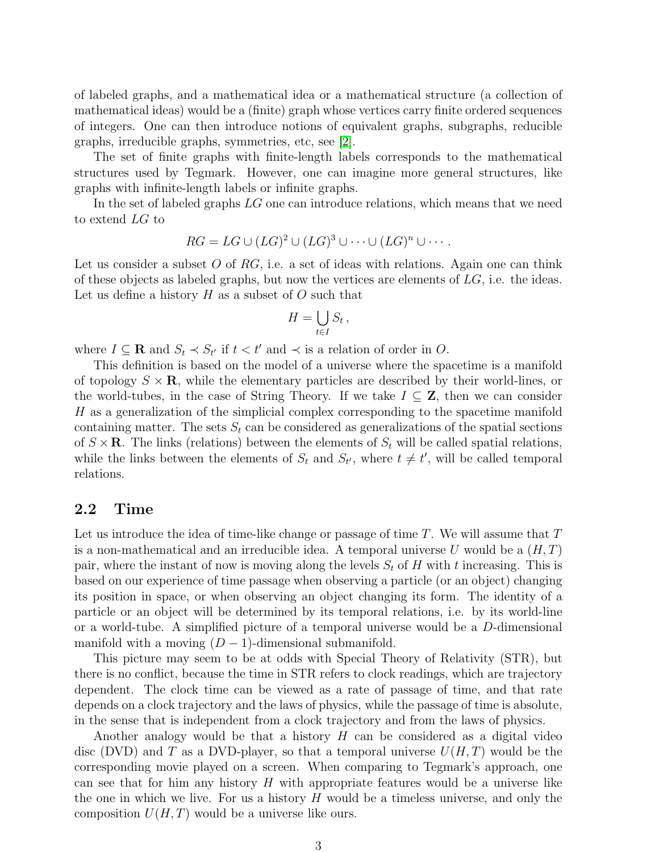of labeled graphs, and a mathematical idea or a mathematical structure (a collection of mathematical ideas) would be a (finite) graph whose vertices carry finite ordered sequences of integers. One can then introduce notions of equivalent graphs, subgraphs, reducible graphs, irreducible graphs, symmetries, etc, see [\[2\]](#page-5-1).

The set of finite graphs with finite-length labels corresponds to the mathematical structures used by Tegmark. However, one can imagine more general structures, like graphs with infinite-length labels or infinite graphs.

In the set of labeled graphs LG one can introduce relations, which means that we need to extend LG to

$$
RG = LG \cup (LG)^2 \cup (LG)^3 \cup \cdots \cup (LG)^n \cup \cdots.
$$

Let us consider a subset O of RG, i.e. a set of ideas with relations. Again one can think of these objects as labeled graphs, but now the vertices are elements of  $LG$ , i.e. the ideas. Let us define a history  $H$  as a subset of  $O$  such that

$$
H=\bigcup_{t\in I}S_t\,,
$$

where  $I \subseteq \mathbf{R}$  and  $S_t \prec S_{t'}$  if  $t < t'$  and  $\prec$  is a relation of order in O.

This definition is based on the model of a universe where the spacetime is a manifold of topology  $S \times \mathbf{R}$ , while the elementary particles are described by their world-lines, or the world-tubes, in the case of String Theory. If we take  $I \subseteq \mathbb{Z}$ , then we can consider H as a generalization of the simplicial complex corresponding to the spacetime manifold containing matter. The sets  $S_t$  can be considered as generalizations of the spatial sections of  $S \times \mathbf{R}$ . The links (relations) between the elements of  $S_t$  will be called spatial relations, while the links between the elements of  $S_t$  and  $S_{t'}$ , where  $t \neq t'$ , will be called temporal relations.

#### 2.2 Time

Let us introduce the idea of time-like change or passage of time  $T$ . We will assume that  $T$ is a non-mathematical and an irreducible idea. A temporal universe U would be a  $(H, T)$ pair, where the instant of now is moving along the levels  $S_t$  of H with t increasing. This is based on our experience of time passage when observing a particle (or an object) changing its position in space, or when observing an object changing its form. The identity of a particle or an object will be determined by its temporal relations, i.e. by its world-line or a world-tube. A simplified picture of a temporal universe would be a D-dimensional manifold with a moving  $(D-1)$ -dimensional submanifold.

This picture may seem to be at odds with Special Theory of Relativity (STR), but there is no conflict, because the time in STR refers to clock readings, which are trajectory dependent. The clock time can be viewed as a rate of passage of time, and that rate depends on a clock trajectory and the laws of physics, while the passage of time is absolute, in the sense that is independent from a clock trajectory and from the laws of physics.

Another analogy would be that a history  $H$  can be considered as a digital video disc (DVD) and T as a DVD-player, so that a temporal universe  $U(H, T)$  would be the corresponding movie played on a screen. When comparing to Tegmark's approach, one can see that for him any history  $H$  with appropriate features would be a universe like the one in which we live. For us a history  $H$  would be a timeless universe, and only the composition  $U(H, T)$  would be a universe like ours.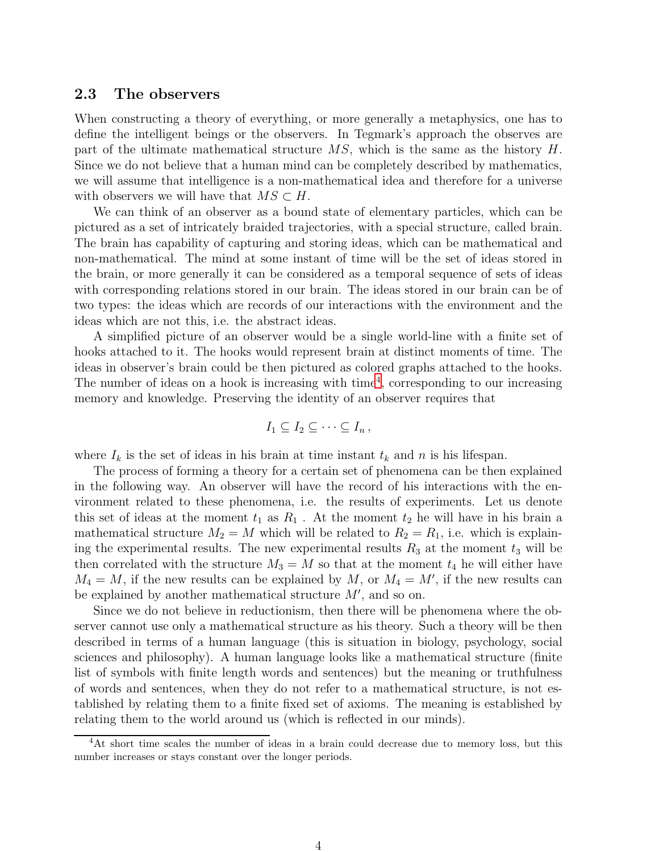#### 2.3 The observers

When constructing a theory of everything, or more generally a metaphysics, one has to define the intelligent beings or the observers. In Tegmark's approach the observes are part of the ultimate mathematical structure  $MS$ , which is the same as the history H. Since we do not believe that a human mind can be completely described by mathematics, we will assume that intelligence is a non-mathematical idea and therefore for a universe with observers we will have that  $MS \subset H$ .

We can think of an observer as a bound state of elementary particles, which can be pictured as a set of intricately braided trajectories, with a special structure, called brain. The brain has capability of capturing and storing ideas, which can be mathematical and non-mathematical. The mind at some instant of time will be the set of ideas stored in the brain, or more generally it can be considered as a temporal sequence of sets of ideas with corresponding relations stored in our brain. The ideas stored in our brain can be of two types: the ideas which are records of our interactions with the environment and the ideas which are not this, i.e. the abstract ideas.

A simplified picture of an observer would be a single world-line with a finite set of hooks attached to it. The hooks would represent brain at distinct moments of time. The ideas in observer's brain could be then pictured as colored graphs attached to the hooks. The number of ideas on a hook is increasing with  $time<sup>4</sup>$  $time<sup>4</sup>$  $time<sup>4</sup>$ , corresponding to our increasing memory and knowledge. Preserving the identity of an observer requires that

$$
I_1\subseteq I_2\subseteq\cdots\subseteq I_n\,,
$$

where  $I_k$  is the set of ideas in his brain at time instant  $t_k$  and n is his lifespan.

The process of forming a theory for a certain set of phenomena can be then explained in the following way. An observer will have the record of his interactions with the environment related to these phenomena, i.e. the results of experiments. Let us denote this set of ideas at the moment  $t_1$  as  $R_1$ . At the moment  $t_2$  he will have in his brain a mathematical structure  $M_2 = M$  which will be related to  $R_2 = R_1$ , i.e. which is explaining the experimental results. The new experimental results  $R_3$  at the moment  $t_3$  will be then correlated with the structure  $M_3 = M$  so that at the moment  $t_4$  he will either have  $M_4 = M$ , if the new results can be explained by M, or  $M_4 = M'$ , if the new results can be explained by another mathematical structure  $M'$ , and so on.

Since we do not believe in reductionism, then there will be phenomena where the observer cannot use only a mathematical structure as his theory. Such a theory will be then described in terms of a human language (this is situation in biology, psychology, social sciences and philosophy). A human language looks like a mathematical structure (finite list of symbols with finite length words and sentences) but the meaning or truthfulness of words and sentences, when they do not refer to a mathematical structure, is not established by relating them to a finite fixed set of axioms. The meaning is established by relating them to the world around us (which is reflected in our minds).

<span id="page-3-0"></span><sup>4</sup>At short time scales the number of ideas in a brain could decrease due to memory loss, but this number increases or stays constant over the longer periods.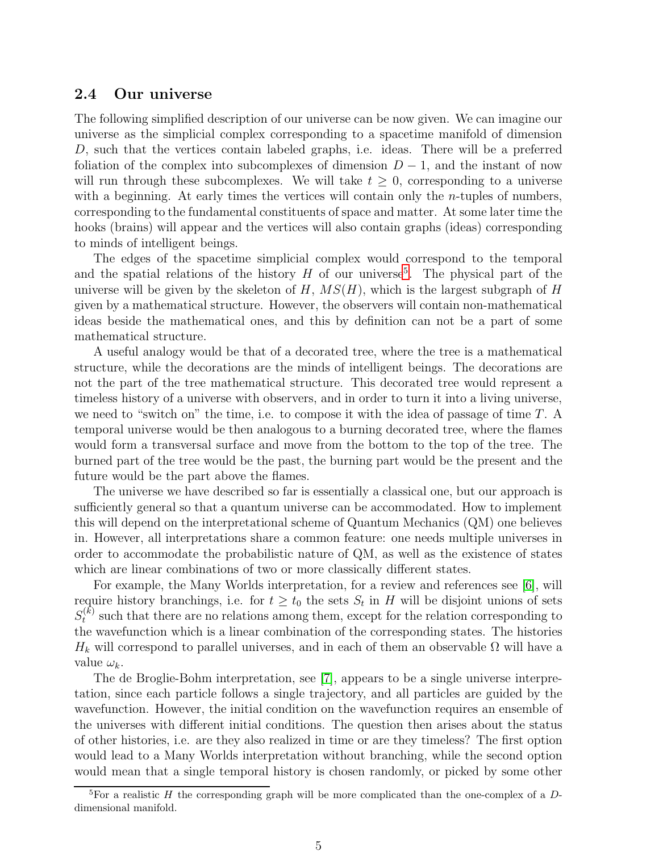### 2.4 Our universe

The following simplified description of our universe can be now given. We can imagine our universe as the simplicial complex corresponding to a spacetime manifold of dimension D, such that the vertices contain labeled graphs, i.e. ideas. There will be a preferred foliation of the complex into subcomplexes of dimension  $D-1$ , and the instant of now will run through these subcomplexes. We will take  $t \geq 0$ , corresponding to a universe with a beginning. At early times the vertices will contain only the *n*-tuples of numbers, corresponding to the fundamental constituents of space and matter. At some later time the hooks (brains) will appear and the vertices will also contain graphs (ideas) corresponding to minds of intelligent beings.

The edges of the spacetime simplicial complex would correspond to the temporal and the spatial relations of the history  $H$  of our universe<sup>[5](#page-4-0)</sup>. The physical part of the universe will be given by the skeleton of  $H$ ,  $MS(H)$ , which is the largest subgraph of H given by a mathematical structure. However, the observers will contain non-mathematical ideas beside the mathematical ones, and this by definition can not be a part of some mathematical structure.

A useful analogy would be that of a decorated tree, where the tree is a mathematical structure, while the decorations are the minds of intelligent beings. The decorations are not the part of the tree mathematical structure. This decorated tree would represent a timeless history of a universe with observers, and in order to turn it into a living universe, we need to "switch on" the time, i.e. to compose it with the idea of passage of time T. A temporal universe would be then analogous to a burning decorated tree, where the flames would form a transversal surface and move from the bottom to the top of the tree. The burned part of the tree would be the past, the burning part would be the present and the future would be the part above the flames.

The universe we have described so far is essentially a classical one, but our approach is sufficiently general so that a quantum universe can be accommodated. How to implement this will depend on the interpretational scheme of Quantum Mechanics (QM) one believes in. However, all interpretations share a common feature: one needs multiple universes in order to accommodate the probabilistic nature of QM, as well as the existence of states which are linear combinations of two or more classically different states.

For example, the Many Worlds interpretation, for a review and references see [\[6\]](#page-5-5), will require history branchings, i.e. for  $t \geq t_0$  the sets  $S_t$  in H will be disjoint unions of sets  $S_t^{(k)}$  such that there are no relations among them, except for the relation corresponding to the wavefunction which is a linear combination of the corresponding states. The histories  $H_k$  will correspond to parallel universes, and in each of them an observable  $\Omega$  will have a value  $\omega_k$ .

The de Broglie-Bohm interpretation, see [\[7\]](#page-6-0), appears to be a single universe interpretation, since each particle follows a single trajectory, and all particles are guided by the wavefunction. However, the initial condition on the wavefunction requires an ensemble of the universes with different initial conditions. The question then arises about the status of other histories, i.e. are they also realized in time or are they timeless? The first option would lead to a Many Worlds interpretation without branching, while the second option would mean that a single temporal history is chosen randomly, or picked by some other

<span id="page-4-0"></span><sup>&</sup>lt;sup>5</sup>For a realistic H the corresponding graph will be more complicated than the one-complex of a Ddimensional manifold.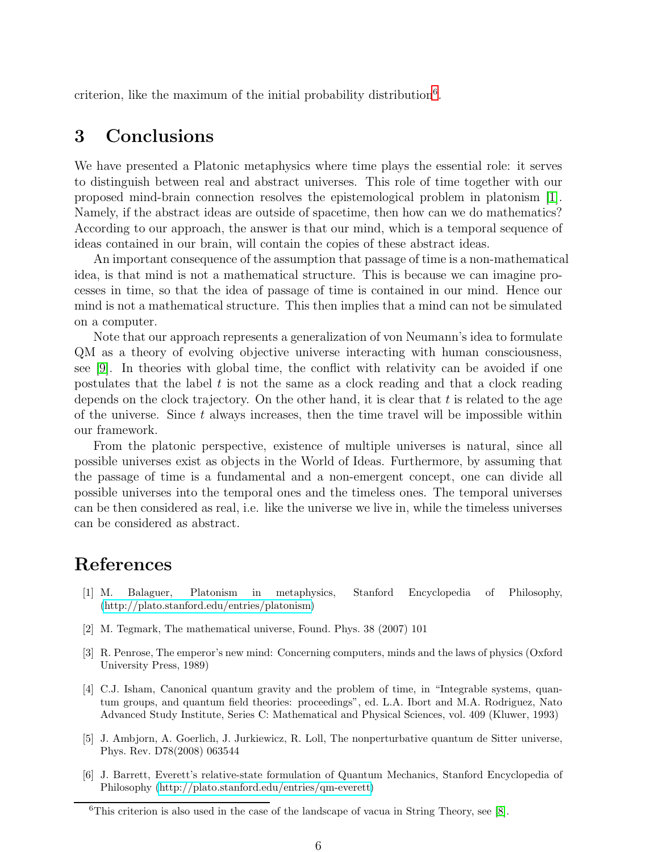criterion, like the maximum of the initial probability distribution<sup>[6](#page-5-6)</sup>.

### 3 Conclusions

We have presented a Platonic metaphysics where time plays the essential role: it serves to distinguish between real and abstract universes. This role of time together with our proposed mind-brain connection resolves the epistemological problem in platonism [\[1\]](#page-5-0). Namely, if the abstract ideas are outside of spacetime, then how can we do mathematics? According to our approach, the answer is that our mind, which is a temporal sequence of ideas contained in our brain, will contain the copies of these abstract ideas.

An important consequence of the assumption that passage of time is a non-mathematical idea, is that mind is not a mathematical structure. This is because we can imagine processes in time, so that the idea of passage of time is contained in our mind. Hence our mind is not a mathematical structure. This then implies that a mind can not be simulated on a computer.

Note that our approach represents a generalization of von Neumann's idea to formulate QM as a theory of evolving objective universe interacting with human consciousness, see [\[9\]](#page-6-1). In theories with global time, the conflict with relativity can be avoided if one postulates that the label  $t$  is not the same as a clock reading and that a clock reading depends on the clock trajectory. On the other hand, it is clear that  $t$  is related to the age of the universe. Since  $t$  always increases, then the time travel will be impossible within our framework.

From the platonic perspective, existence of multiple universes is natural, since all possible universes exist as objects in the World of Ideas. Furthermore, by assuming that the passage of time is a fundamental and a non-emergent concept, one can divide all possible universes into the temporal ones and the timeless ones. The temporal universes can be then considered as real, i.e. like the universe we live in, while the timeless universes can be considered as abstract.

# <span id="page-5-0"></span>References

- [1] M. Balaguer, Platonism in metaphysics, Stanford Encyclopedia of Philosophy, [\(http://plato.stanford.edu/entries/platonism\)](http://plato.stanford.edu/entries/platonism)
- <span id="page-5-2"></span><span id="page-5-1"></span>[2] M. Tegmark, The mathematical universe, Found. Phys. 38 (2007) 101
- [3] R. Penrose, The emperor's new mind: Concerning computers, minds and the laws of physics (Oxford University Press, 1989)
- <span id="page-5-3"></span>[4] C.J. Isham, Canonical quantum gravity and the problem of time, in "Integrable systems, quantum groups, and quantum field theories: proceedings", ed. L.A. Ibort and M.A. Rodriguez, Nato Advanced Study Institute, Series C: Mathematical and Physical Sciences, vol. 409 (Kluwer, 1993)
- <span id="page-5-4"></span>[5] J. Ambjorn, A. Goerlich, J. Jurkiewicz, R. Loll, The nonperturbative quantum de Sitter universe, Phys. Rev. D78(2008) 063544
- <span id="page-5-5"></span>[6] J. Barrett, Everett's relative-state formulation of Quantum Mechanics, Stanford Encyclopedia of Philosophy [\(http://plato.stanford.edu/entries/qm-everett\)](http://plato.stanford.edu/entries/qm-everett)

<span id="page-5-6"></span><sup>&</sup>lt;sup>6</sup>This criterion is also used in the case of the landscape of vacua in String Theory, see [\[8\]](#page-6-2).